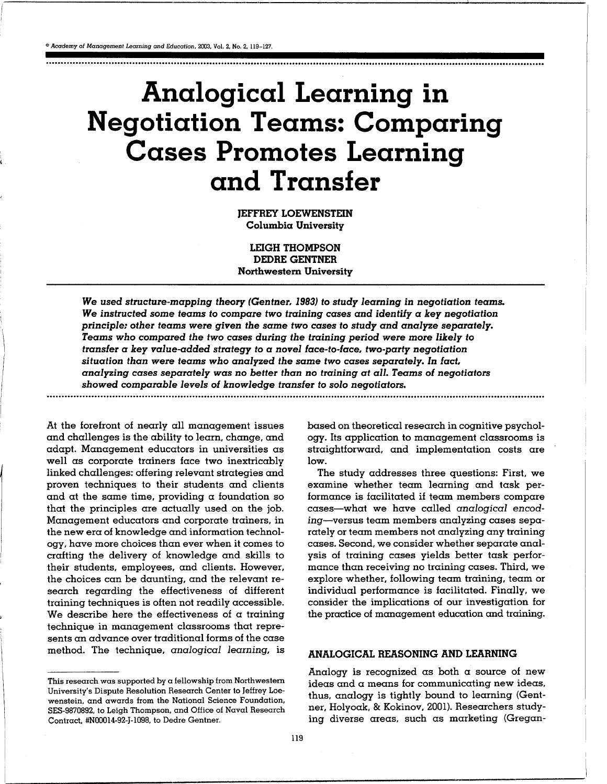<sup>®</sup> Academy of Management Learning and Education, 2003, Vol. 2, No. 2, 119-127.

. . . . . . . . . . . . . . . . . . . . . . . . . . . . . . . . . . . . . . . . . . . . . . . . . . . . . . . . . . . . . . . . . . . . . . . . . . . . . . . . . . . . . . .. .. . . .. . . . . . . . . . . . . . . . . . . . . . . . . . . . . . . . . . . . . . . . . . . . . . . . . . . . . . . . . . . . . . . . . . . . . . . . . . .

# Analogical Learning in Negotiation Teams: Comparing Cases Promotes Learning and Transfer

JEFFREY LOEWENSTEIN Columbia University

LEIGH THOMPSON DEDRE GENTNER Northwestern University

We used structure-mapping theory (Gentner, 1983) to study learning in negotiation teams. We instructed some teams to compare two training cases and identify a key negotiation principle; other teams were given the same two cases to study and analyze separately. Teams who compared the two cases during the training period were more likely to transfer a key value-added strategy to a novel face-to-face, two-party negotiation situation than were teams who analyzed the same two cases separately. In fact, analyzing cases separately was no better than no training at all. Teams of negotiators showed comparable levels of knowledge transfer to solo negotiators.

. . . . . . . . . . . . . . . . . . . . . . . . . . . . . . . . . . . . . . . . . . . . . . . . . . . . . . . . . . . . . . . . . . . . . . . . . . . . . . . . . . . . . . . . . . . . . . . . . . . . . . . . . . . . . . . . . . .. . . . . . . . . . . . . . . .. .. . . . . . . . . . . . . . . . . . . . . . . . . . . .. . . . . . .

At the forefront of nearly all management issues and challenges is the ability to learn, change, and adapt. Management educators in universities as well as corporate trainers face two inextricably linked challenges: offering relevant strategies and proven techniques to their students and clients and at the same time, providing a foundation so that the principles are actually used on the job. Management educators and corporate trainers, in the new era of knowledge and information technology, have more choices than ever when it comes to crafting the delivery of knowledge and skills to their students, employees, and clients. However, the choices can be daunting, and the relevant research regarding the effectiveness of different training techniques is often not readily accessible . We describe here the effectiveness of  $\alpha$  training technique in management classrooms that represents an advance over traditional forms of the case method. The technique, analogical learning, is based on theoretical research in cognitive psychology. Its application to management classrooms is straightforward, and implementation costs are low.

The study addresses three questions: First, we examine whether team learning and task performance is facilitated if team members compare cases-what we have called analogical encoding-versus team members analyzing cases separately or team members not analyzing any training cases. Second, we consider whether separate analysis of training cases yields better task performance than receiving no training cases . Third, we explore whether, following team training, team or individual performance is facilitated. Finally, we consider the implications of our investigation for the practice of management education and training.

# ANALOGICAL REASONING AND LEARNING

Analogy is recognized as both  $\alpha$  source of new ideas and a means for communicating new ideas, thus, analogy is tightly bound to learning (Gentner, Holyoak, & Kokinov, 2001). Researchers studying diverse areas, such as marketing (Gregan-

This research was supported by a fellowship from Northwestern University's Dispute Resolution Research Center to Jeffrey Loewenstein, and awards from the National Science Foundation, SES-9870892, to Leigh Thompson, and Office of Naval Research Contract, #N00014-92-J-1098, to Dedre Gentner.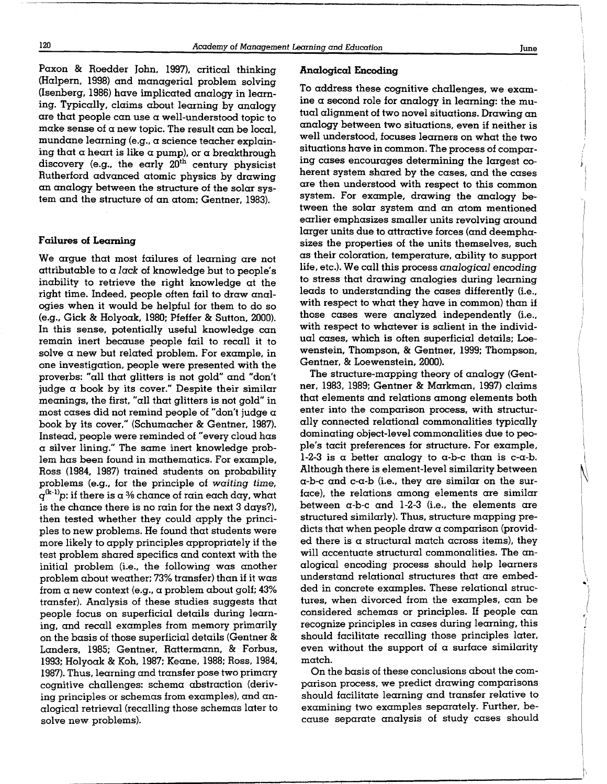Paxon & Roedder John, 1997), critical thinking (Halpern, 1998) and managerial problem solving (Isenberg, 1986) have implicated analogy in learning. Typically, claims about learning by analogy are that people can use a well-understood topic to make sense of a new topic. The result can be local, mundane learning (e.g., a science teacher explaining that a heart is like a pump), or a breakthrough discovery (e.g., the early  $20<sup>th</sup>$  century physicist Rutherford advanced atomic physics by drawing an analogy between the structure of the solar system and the structure of an atom; Gentner, 1983).

## Failures of Learning

We argue that most failures of learning are not  $artributable to a lack of knowledge but to people's$ inability to retrieve the right knowledge at the right time. Indeed, people often fail to draw analogies when it would be helpful for them to do so  $(e.g., Gick & Holyock, 1980; Pfeffer & Sutton, 2000).$ In this sense, potentially useful knowledge can remain inert because people fail to recall it to solve  $\alpha$  new but related problem. For example, in one investigation, people were presented with the proverbs: "all that glitters is not gold" and "don't judge  $\alpha$  book by its cover." Despite their similar meanings, the first, "all that glitters is not gold" in most cases did not remind people of "don't judge  $\alpha$ book by its cover," (Schumacher & Gentner, 1987). Instead, people were reminded of "every cloud has a silver lining." The same inert knowledge problem has been found in mathematics . For example, Ross (1984, 1987) trained students on probability problems (e.g., for the principle of waiting time,  $q^{(k-1)}p$ : if there is a % chance of rain each day, what is the chance there is no rain for the next 3 days?), then tested whether they could apply the principles to new problems . He found that students were more likely to apply principles appropriately if the test problem shared specifics and context with the initial problem (i.e., the following was another problem about weather; 73% transfer) than if it was from  $\alpha$  new context (e.g.,  $\alpha$  problem about golf; 43% transfer). Analysis of these studies suggests that people focus on superficial details during learning, and recall examples from memory primarily on the basis of those superficial details (Gentner & Landers, 1985; Gentner, Rattermann, & Forbus, 1993; Holyoak & Koh, 1987; Keane, 1988; Ross, 1984, 1987). Thus, learning and transfer pose two primary cognitive challenges: schema abstraction (deriving principles or schemas from examples), and analogical retrieval (recalling those schemas later to solve new problems).

#### Analogical Encoding

To address these cognitive challenges, we examine  $\alpha$  second role for analogy in learning: the mutual alignment of two novel situations . Drawing an analogy between two situations, even if neither is well understood, focuses learners on what the two situations have in common . The process of comparing cases encourages determining the largest coherent system shared by the cases, and the cases are then understood with respect to this common system. For example, drawing the analogy between the solar system and an atom mentioned earlier emphasizes smaller units revolving around larger units due to attractive forces (and deemphasizes the properties of the units themselves, such as their coloration, temperature, ability to support life, etc.). We call this process analogical encoding to stress that drawing analogies during learning leads to understanding the cases differently (i.e., with respect to what they have in common) than if those cases were analyzed independently (i.e., with respect to whatever is salient in the individual cases, which is often superficial details; Loewenstein, Thompson, & Gentner, 1999; Thompson, Gentner, & Loewenstein, 2000).

The structure-mapping theory of analogy (Gentner, 1983, 1989; Gentner & Markman, 1997) claims that elements and relations among elements both enter into the comparison process, with structurally connected relational commonalities typically dominating object-level commonalities due to people's tacit preferences for structure . For example, 1-2-3 is a better analogy to  $\alpha$ -b-c than is c- $\alpha$ -b. Although there is element-level similarity between  $\alpha$ -b-c and c- $\alpha$ -b (i.e., they are similar on the surface), the relations among elements are similar between  $\alpha$ -b-c and 1-2-3 (i.e., the elements are structured similarly). Thus, structure mapping predicts that when people draw a comparison (provided there is a structural match across items), they will accentuate structural commonalities. The analogical encoding process should help learners understand relational structures that are embedded in concrete examples. These relational structures, when divorced from the examples, can be considered schemas or principles. If people can recognize principles in cases during learning, this should facilitate recalling those principles later, even without the support of  $\alpha$  surface similarity match.

On the basis of these conclusions about the comparison process, we predict drawing comparisons should facilitate learning and transfer relative to examining two examples separately. Further, because separate analysis of study cases should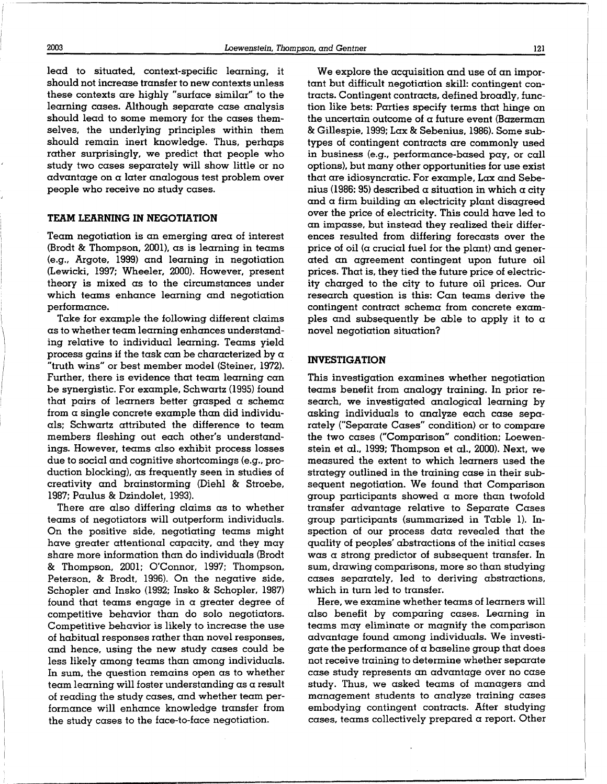2003

 

lead to situated, context-specific learning, it should not increase transfer to new contexts unless these contexts are highly "surface similar" to the learning cases. Although separate case analysis should lead to some memory for the cases themselves, the underlying principles within them should remain inert knowledge. Thus, perhaps rather surprisingly, we predict that people who study two cases separately will show little or no advantage on a later analogous test problem over people who receive no study cases.

## TEAM LEARNING IN NEGOTIATION

Team negotiation is an emerging area of interest (Brodt & Thompson, 2001), as is learning in teams (e .g ., Argote, 1999) and learning in negotiation (Lewicki, 1997; Wheeler, 2000). However, present theory is mixed as to the circumstances under which teams enhance learning and negotiation performance .

Take for example the following different claims as to whether team learning enhances understanding relative to individual learning . Teams yield process gains if the task can be characterized by  $\alpha$ "truth wins" or best member model (Steiner, 1972) . Further, there is evidence that team learning can be synergistic . For example, Schwartz (1995) found that pairs of learners better grasped  $\alpha$  schema from  $\alpha$  single concrete example than did individuals; Schwartz attributed the difference to team members fleshing out each other's understandings . However, teams also exhibit process losses due to social and cognitive shortcomings (e .g., production blocking), as frequently seen in studies of creativity and brainstorming (Diehl & Stroebe, 1987; Paulus & Dzindolet, 1993).

There are also differing claims as to whether teams of negotiators will outperform individuals . On the positive side, negotiating teams might have greater attentional capacity, and they may share more information than do individuals (Brodt & Thompson, 2001; O'Connor, 1997; Thompson, Peterson, & Brodt, 1996). On the negative side, Schopler and Insko (1992; Insko & Schopler, 1987) found that teams engage in a greater degree of competitive behavior than do solo negotiators. Competitive behavior is likely to increase the use of habitual responses rather than novel responses, and hence, using the new study cases could be less likely among teams than among individuals. In sum, the question remains open as to whether team learning will foster understanding as a result of reading the study cases, and whether team performance will enhance knowledge transfer from the study cases to the face-to-face negotiation.

We explore the acquisition and use of an important but difficult negotiation skill: contingent contracts . Contingent contracts, defined broadly, function like bets: Parties specify terms that hinge on the uncertain outcome of  $\alpha$  future event (Bazerman & Gillespie, 1999 ; Lax & Sebenius, 1986) . Some subtypes of contingent contracts are commonly used in business (e.g., performance-based pay, or call options), but many other opportunities for use exist that are idiosyncratic . For example, Lax and Sebenius (1986: 95) described  $\alpha$  situation in which  $\alpha$  city and a firm building an electricity plant disagreed over the price of electricity. This could have led to an impasse, but instead they realized their differences resulted from differing forecasts over the price of oil ( $\alpha$  crucial fuel for the plant) and generated an agreement contingent upon future oil prices . That is, they tied the future price of electricity charged to the city to future oil prices . Our research question is this: Can teams derive the contingent contract schema from concrete examples and subsequently be able to apply it to  $\alpha$ novel negotiation situation?

## INVESTIGATION

This investigation examines whether negotiation teams benefit from analogy training. In prior research, we investigated analogical learning by asking individuals to analyze each case separately ("Separate Cases" condition) or to compare the two cases ("Comparison" condition; Loewenstein et  $al., 1999; Thompson et al., 2000. Next, we$ measured the extent to which learners used the strategy outlined in the training case in their subsequent negotiation. We found that Comparison group participants showed a more than twofold transfer advantage relative to Separate Cases group participants (summarized in Table 1). Inspection of our process data revealed that the quality of peoples' abstractions of the initial cases was a strong predictor of subsequent transfer. In sum, drawing comparisons, more so than studying cases separately, led to deriving abstractions, which in turn led to transfer.

Here, we examine whether teams of learners will also benefit by comparing cases. Learning in teams may eliminate or magnify the comparison advantage found among individuals . We investigate the performance of  $\alpha$  baseline group that does not receive training to determine whether separate case study represents an advantage over no case study. Thus, we asked teams of managers and management students to analyze training cases embodying contingent contracts. After studying cases, teams collectively prepared  $\alpha$  report. Other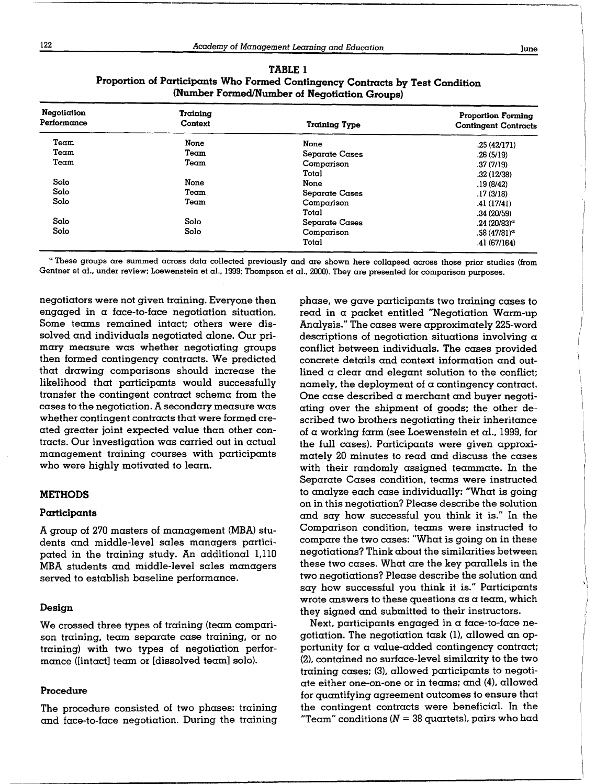| _____ |
|-------|
|       |

| Negotiation<br>Performance | Training<br>Context | Training Type  | <b>Proportion Forming</b><br><b>Contingent Contracts</b> |
|----------------------------|---------------------|----------------|----------------------------------------------------------|
| Team                       | None                | None           | .25(42/171)                                              |
| Team                       | Team                | Separate Cases | .26(5/19)                                                |
| Team                       | Team                | Comparison     | .37(7/19)                                                |
|                            |                     | Total          | .32(12/38)                                               |
| Solo                       | None                | None           | .19(8/42)                                                |
| Solo                       | Team                | Separate Cases | .17(3/18)                                                |
| Solo                       | Team                | Comparison     | .41(17/41)                                               |
|                            |                     | Total          | .34(20/59)                                               |
| Solo                       | Solo                | Separate Cases | $.24$ (20/83) <sup><math>\sigma</math></sup>             |
| Solo                       | Solo                | Comparison     | $.58(47/81)$ <sup><math>\sigma</math></sup>              |
|                            |                     | Total          | .41(67/164)                                              |

TABLE 1 Proportion of Participants Who Formed Contingency Contracts by Test Condition (Number Formed/Number of Negotiation Groups)

'These groups are summed across data collected previously and are shown here collapsed across those prior studies (from Gentner et al., under review; Loewenstein et al., 1999; Thompson et al., 2000). They are presented for comparison purposes.

negotiators were not given training. Everyone then engaged in  $\alpha$  face-to-face negotiation situation. Some teams remained intact; others were dissolved and individuals negotiated alone. Our primary measure was whether negotiating groups then formed contingency contracts. We predicted that drawing comparisons should increase the likelihood that participants would successfully transfer the contingent contract schema from the cases to the negotiation . A secondary measure was whether contingent contracts that were formed created greater joint expected value than other contracts. Our investigation was carried out in actual management training courses with participants who were highly motivated to learn.

#### METHODS

## Participants

A group of 270 masters of management (MBA) students and middle-level sales managers participated in the training study. An additional 1,110 MBA students and middle-level sales managers served to establish baseline performance .

## Design

We crossed three types of training (team comparison training, team separate case training, or no training) with two types of negotiation perfor $m$ ance ([intact] team or [dissolved team] solo).

#### Procedure

The procedure consisted of two phases: training and face-to-face negotiation. During the training

phase, we gave participants two training cases to read in a packet entitled "Negotiation Warm-up Analysis ." The cases were approximately 225-word descriptions of negotiation situations involving  $\alpha$ conflict between individuals . The cases provided concrete details and context information and outlined  $\alpha$  clear and elegant solution to the conflict; namely, the deployment of  $\alpha$  contingency contract. One case described a merchant and buyer negotiating over the shipment of goods; the other described two brothers negotiating their inheritance of  $\alpha$  working farm (see Loewenstein et al., 1999, for the full cases). Participants were given approximately 20 minutes to read and discuss the cases with their randomly assigned teammate. In the Separate Cases condition, teams were instructed to analyze each case individually: "What is going on in this negotiation? Please describe the solution and say how successful you think it is." In the Comparison condition, teams were instructed to compare the two cases: "What is going on in these negotiations? Think about the similarities between these two cases. What are the key parallels in the two negotiations? Please describe the solution and say how successful you think it is." Participants wrote answers to these questions  $\alpha s$  a team, which they signed and submitted to their instructors.

Next, participants engaged in a face-to-face negotiation . The negotiation task (1), allowed an opportunity for a value-added contingency contract; (2), contained no surface-level similarity to the two training cases; (3), allowed participants to negotiate either one-on-one or in teams; and  $(4)$ , allowed for quantifying agreement outcomes to ensure that the contingent contracts were beneficial. In the "Team" conditions ( $N = 38$  quartets), pairs who had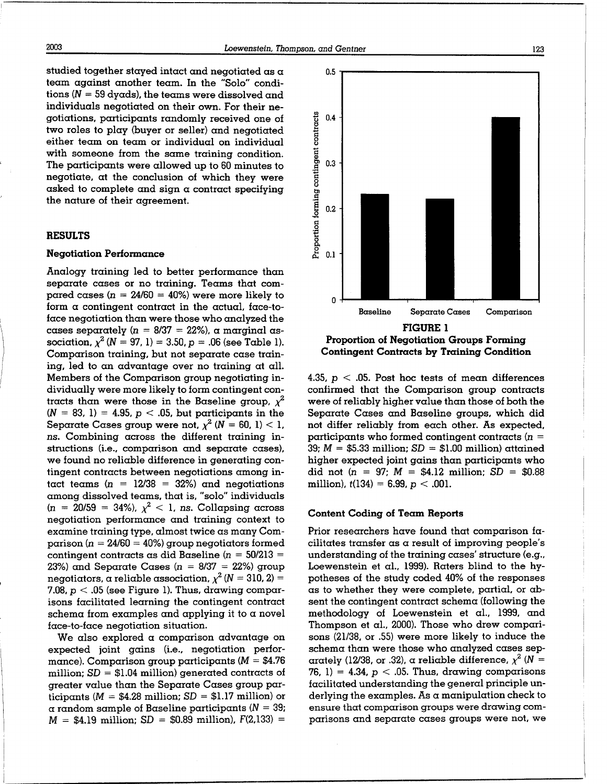studied together stayed intact and negotiated as a team against another team . In the "Solo" conditions ( $N = 59$  dyads), the teams were dissolved and individuals negotiated on their own. For their negotiations, participants randomly received one of two roles to play (buyer or seller) and negotiated either team on team or individual on individual with someone from the same training condition. The participants were allowed up to 60 minutes to negotiate, at the conclusion of which they were asked to complete and sign  $\alpha$  contract specifying the nature of their agreement.

#### RESULTS

#### **Negotiation Performance**

Analogy training led to better performance than separate cases or no training. Teams that compared cases ( $n = 24/60 = 40\%$ ) were more likely to form a contingent contract in the actual, face-toface negotiation than were those who analyzed the cases separately ( $n = 8/37 = 22\%$ ), a marginal association,  $\chi^2$  (N = 97, 1) = 3.50, p = .06 (see Table 1). Comparison training, but not separate case training, led to an advantage over no training at all. Members of the Comparison group negotiating individually were more likely to form contingent contracts than were those in the Baseline group,  $\chi^2$  $(N = 83, 1) = 4.95, p < .05$ , but participants in the Separate Cases group were not,  $\chi^2$  (N = 60, 1) < 1, ns. Combining across the different training instructions (i.e., comparison and separate cases), we found no reliable difference in generating contingent contracts between negotiations among intact teams ( $n = 12/38 = 32\%)$  and negotiations among dissolved teams, that is, "solo" individuals  $(n = 20/59 = 34\%)$ ,  $\chi^2 < 1$ , ns. Collapsing across negotiation performance and training context to examine training type, almost twice as many Comparison ( $n = 24/60 = 40\%$ ) group negotiators formed contingent contracts as did Baseline ( $n = 50/213 =$ 23%) and Separate Cases ( $n = 8/37 = 22$ %) group negotiators, a reliable association,  $\chi^2$  (N = 310, 2) = 7.08,  $p < 0.05$  (see Figure 1). Thus, drawing comparisons facilitated learning the contingent contract schema from examples and applying it to a novel face-to-face negotiation situation.

We also explored a comparison advantage on expected joint gains (i.e., negotiation performance). Comparison group participants ( $M = $4.76$ million;  $SD = $1.04$  million) generated contracts of greater value than the Separate Cases group participants ( $M = $4.28$  million;  $SD = $1.17$  million) or  $\alpha$  random sample of Baseline participants ( $N = 39$ ;  $M = $4.19$  million;  $SD = $0.89$  million),  $F(2,133) =$ 

4.35,  $p < .05$ . Post hoc tests of mean differences confirmed that the Comparison group contracts were of reliably higher value than those of both the Separate Cases and Baseline groups, which did not differ reliably from each other. As expected, participants who formed contingent contracts  $(n =$ 39;  $M = $5.33$  million;  $SD = $1.00$  million) attained higher expected joint gains than participants who did not  $(n = 97; M = $4.12 \text{ million}; SD = $0.88$ million),  $t(134) = 6.99$ ,  $p < .001$ .

#### Content Coding of Team Reports

Prior researchers have found that comparison facilitates transfer as a result of improving people's understanding of the training cases' structure (e.g., Loewenstein et al., 1999). Raters blind to the hypotheses of the study coded 40% of the responses as to whether they were complete, partial, or absent the contingent contract schema (following the methodology of Loewenstein et al., 1999, and Thompson et al., 2000). Those who drew comparisons (21/38, or .55) were more likely to induce the schema than were those who analyzed cases separately (12/38, or .32), a reliable difference,  $\chi^2$  (N = 76, 1) = 4.34,  $p < 0.05$ . Thus, drawing comparisons facilitated understanding the general principle underlying the examples. As a manipulation check to ensure that comparison groups were drawing comparisons and separate cases groups were not, we

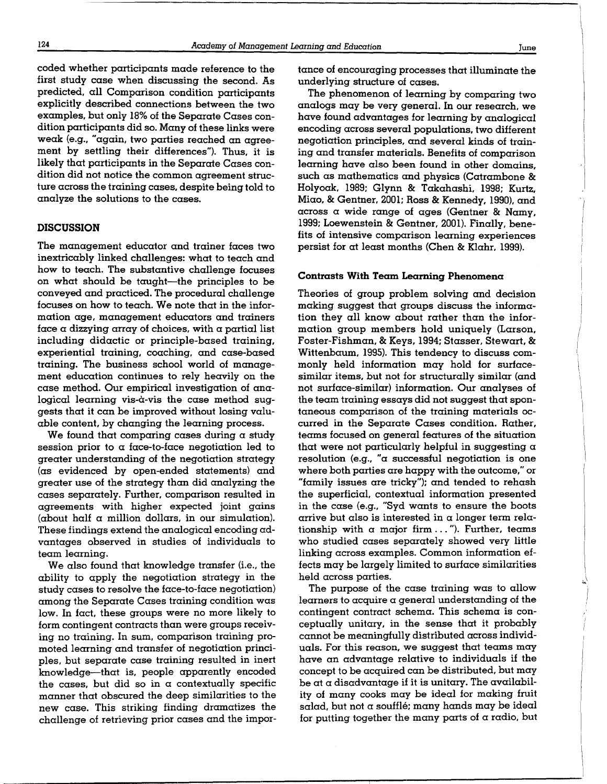coded whether participants made reference to the first study case when discussing the second . As predicted, all Comparison condition participants explicitly described connections between the two examples, but only 18% of the Separate Cases condition participants did so. Many of these links were weak (e.g., "again, two parties reached an agreement by settling their differences"). Thus, it is likely that participants in the Separate Cases condition did not notice the common agreement structure across the training cases, despite being told to analyze the solutions to the cases .

## DISCUSSION

The management educator and trainer faces two inextricably linked challenges: what to teach and how to teach. The substantive challenge focuses on what should be taught-the principles to be conveyed and practiced. The procedural challenge focuses on how to teach . We note that in the information age, management educators and trainers face a dizzying array of choices, with a partial list including didactic or principle-based training, experiential training, coaching, and case-based training. The business school world of management education continues to rely heavily on the case method. Our empirical investigation of analogical learning vis- $\alpha$ -vis the case method suggests that it can be improved without losing valuable content, by changing the learning process .

We found that comparing cases during a study session prior to  $\alpha$  face-to-face negotiation led to greater understanding of the negotiation strategy (as evidenced by open-ended statements) and greater use of the strategy than did analyzing the cases separately. Further, comparison resulted in agreements with higher expected joint gains (about half  $\alpha$  million dollars, in our simulation). These findings extend the analogical encoding advantages observed in studies of individuals to team learning.

We also found that knowledge transfer (i.e., the ability to apply the negotiation strategy in the study cases to resolve the face-to-face negotiation) among the Separate Cases training condition was low. In fact, these groups were no more likely to form contingent contracts than were groups receiving no training. In sum, comparison training promoted learning and transfer of negotiation principles, but separate case training resulted in inert knowledge-that is, people apparently encoded the cases, but did so in a contextually specific manner that obscured the deep similarities to the new case. This striking finding dramatizes the challenge of retrieving prior cases and the importance of encouraging processes that illuminate the underlying structure of cases .

The phenomenon of learning by comparing two analogs may be very general. In our research, we have found advantages for learning by analogical encoding across several populations, two different negotiation principles, and several kinds of training and transfer materials. Benefits of comparison learning have also been found in other domains, such as mathematics and physics (Catrambone & Holyoak, 1989; Glynn & Takahashi, 1998; Kurtz, Miao, & Gentner, 2001; Ross & Kennedy, 1990), and across a wide range of ages (Gentner & Namy, 1999; Loewenstein & Gentner, 2001) . Finally, benefits of intensive comparison learning experiences persist for at least months (Chen & Klahr, 1999) .

#### Contrasts With Team Learning Phenomena

Theories of group problem solving and decision making suggest that groups discuss the information they all know about rather than the information group members hold uniquely (Larson, Foster-Fishman, & Keys, 1994 ; Stasser, Stewart, & Wittenbaum, 1995). This tendency to discuss commonly held information may hold for surfacesimilar items, but not for structurally similar (and not surface-similar) information . Our analyses of the team training essays did not suggest that spontaneous comparison of the training materials occurred in the Separate Cases condition. Rather, teams focused on general features of the situation that were not particularly helpful in suggesting  $\alpha$ resolution (e.g., " $\alpha$  successful negotiation is one where both parties are happy with the outcome," or "family issues are tricky"); and tended to rehash the superficial, contextual information presented in the case (e.g., "Syd wants to ensure the boots arrive but also is interested in a longer term relationship with a major firm ..."). Further, teams who studied cases separately showed very little linking across examples . Common information effects may be largely limited to surface similarities held across parties.

The purpose of the case training was to allow learners to acquire a general understanding of the contingent contract schema . This schema is conceptually unitary, in the sense that it probably cannot be meaningfully distributed across individuals. For this reason, we suggest that teams may have an advantage relative to individuals if the concept to be acquired can be distributed, but may be at a disadvantage if it is unitary. The availability of many cooks may be ideal for making fruit salad, but not a soufflé; many hands may be ideal for putting together the many parts of a radio, but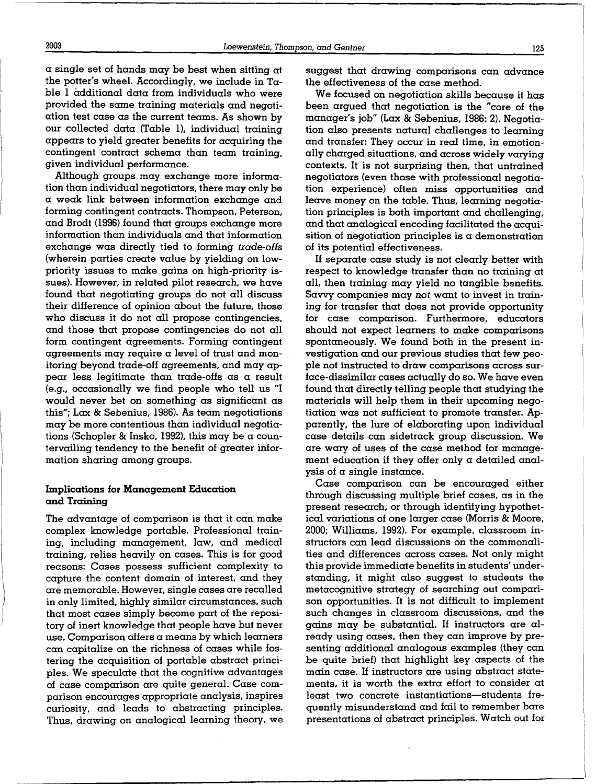$\alpha$  single set of hands may be best when sitting at the potter's wheel. Accordingly, we include in T $\alpha$ ble 1 additional data from individuals who were provided the same training materials and negotiation test case as the current teams . As shown by our collected data (Table 1), individual training appears to yield greater benefits for acquiring the contingent contract schema than team training, given individual performance.

Although groups may exchange more information than individual negotiators, there may only be a weak link between information exchange and forming contingent contracts . Thompson, Peterson, and Brodt (1996) found that groups exchange more information than individuals and that information exchange was directly tied to forming trade-offs (wherein parties create value by yielding on lowpriority issues to make gains on high-priority issues). However, in related pilot research, we have found that negotiating groups do not all discuss their difference of opinion about the future, those who discuss it do not all propose contingencies, and those that propose contingencies do not all form contingent agreements . Forming contingent agreements may require a level of trust and monitoring beyond trade-off agreements, and may appear less legitimate than trade-offs as a result (e.g ., occasionally we find people who tell us "I would never bet on something as significant as this"; Lax & Sebenius, 1986). As team negotiations may be more contentious than individual negotiations (Schopler & Insko, 1992), this may be a countervailing tendency to the benefit of greater information sharing among groups.

## Implications for Management Education and Training

The advantage of comparison is that it can make complex knowledge portable . Professional training, including management, law, and medical training, relies heavily on cases . This is for good reasons: Cases possess sufficient complexity to capture the content domain of interest, and they are memorable. However, single cases are recalled in only limited, highly similar circumstances, such that most cases simply become part of the repository of inert knowledge that people have but never use. Comparison offers  $\alpha$  means by which learners can capitalize on the richness of cases while fostering the acquisition of portable abstract principles. We speculate that the cognitive advantages of case comparison are quite general. Case comparison encourages appropriate analysis, inspires curiosity, and leads to abstracting principles . Thus, drawing on analogical learning theory, we suggest that drawing comparisons can advance the effectiveness of the case method.

We focused on negotiation skills because it has been argued that negotiation is the "core of the manager's job" (Lax & Sebenius, 1986: 2). Negotiation also presents natural challenges to learning and transfer: They occur in real time, in emotionally charged situations, and across widely varying contexts. It is not surprising then, that untrained negotiators (even those with professional negotiation experience) often miss opportunities and leave money on the table. Thus, learning negotiation principles is both important and challenging, and that analogical encoding facilitated the acquisition of negotiation principles is a demonstration of its potential effectiveness .

If separate case study is not clearly better with respect to knowledge transfer than no training at all, then training may yield no tangible benefits. Savvy companies may not want to invest in training for transfer that does not provide opportunity for case comparison. Furthermore, educators should not expect learners to make comparisons spontaneously. We found both in the present investigation and our previous studies that few people not instructed to draw comparisons across surface-dissimilar cases actually do so. We have even found that directly telling people that studying the materials will help them in their upcoming negotiation was not sufficient to promote transfer. Apparently, the lure of elaborating upon individual case details can sidetrack group discussion . We are wary of uses of the case method for management education if they offer only a detailed analysis of a single instance.

Case comparison can be encouraged either through discussing multiple brief cases, as in the present research, or through identifying hypothetical variations of one larger case (Morris & Moore, 2000; Williams, 1992). For example, classroom instructors can lead discussions on the commonalities and differences across cases . Not only might this provide immediate benefits in students' understanding, it might also suggest to students the metacognitive strategy of searching out comparison opportunities . It is not difficult to implement such changes in classroom discussions, and the gains may be substantial . If instructors are already using cases, then they can improve by presenting additional analogous examples (they can be quite brief) that highlight key aspects of the main case. If instructors are using abstract statements, it is worth the extra effort to consider at least two concrete instantiations-students frequently misunderstand and fail to remember bare presentations of abstract principles . Watch out for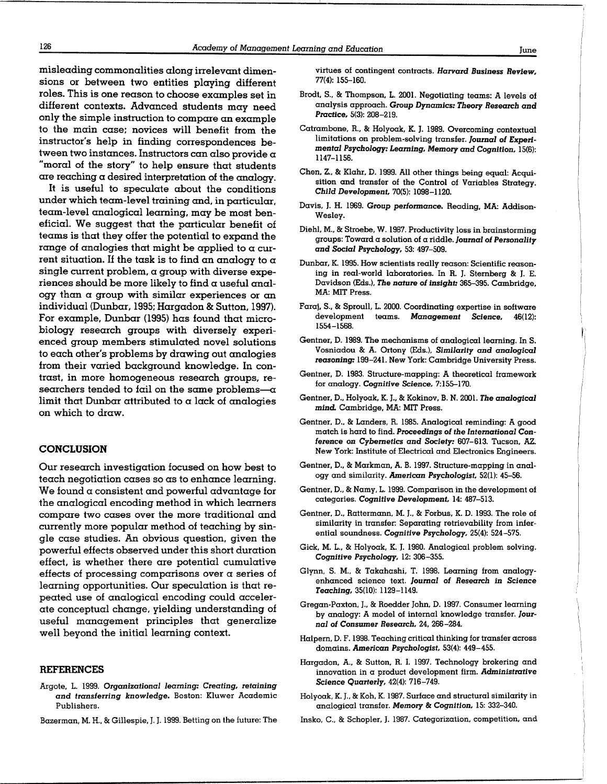misleading commonalities along irrelevant dimensions or between two entities playing different roles. This is one reason to choose examples set in different contexts . Advanced students may need only the simple instruction to compare an example to the main case; novices will benefit from the instructor's help in finding correspondences between two instances. Instructors can also provide  $\alpha$ "moral of the story" to help ensure that students are reaching a desired interpretation of the analogy.

It is useful to speculate about the conditions under which team-level training and, in particular, team-level analogical learning, may be most beneficial. We suggest that the particular benefit of teams is that they offer the potential to expand the range of analogies that might be applied to a current situation. If the task is to find an analogy to  $\alpha$ single current problem,  $\alpha$  group with diverse experiences should be more likely to find  $\alpha$  useful analogy than a group with similar experiences or an individual (Dunbar, 1995; Hargadon & Sutton, 1997). For example, Dunbar (1995) has found that microbiology research groups with diversely experienced group members stimulated novel solutions to each other's problems by drawing out analogies from their varied background knowledge. In contrast, in more homogeneous research groups, researchers tended to fail on the same problems- $-\alpha$ limit that Dunbar attributed to  $\alpha$  lack of analogies on which to draw.

#### CONCLUSION

Our research investigation focused on how best to teach negotiation cases so as to enhance learning. We found a consistent and powerful advantage for the analogical encoding method in which learners compare two cases over the more traditional and currently more popular method of teaching by single case studies . An obvious question, given the powerful effects observed under this short duration effect, is whether there are potential cumulative effects of processing comparisons over a series of learning opportunities. Our speculation is that repeated use of analogical encoding could accelerate conceptual change, yielding understanding of useful management principles that generalize well beyond the initial learning context.

## REFERENCES

- Argote, L. 1999. Organizational learning: Creating, retaining and transferring knowledge. Boston: Kluwer Academic Publishers .
- Bazerman, M. H., & Gillespie, J. J. 1999. Betting on the future: The

virtues of contingent contracts . Harvard Business Review, 77(4): 155-160.

- Brodt, S., & Thompson, L. 2001. Negotiating teams: A levels of analysis approach . Group Dynamics: Theory Research and Practice, 5(3): 208-219.
- Catrambone, R., & Holyoak, K. J. 1989. Overcoming contextual limitations on problem-solving transfer. Journal of Experimental Psychology: Learning, Memory and Cognition, 15(6): 1147-1156.
- Chen, Z., & Klahr, D. 1999. All other things being equal: Acquisition and transfer of the Control of Variables Strategy. Child Development, 70(5): 1098-1120.
- Davis, J. H. 1969. Group performance. Reading, MA: Addison-Wesley.
- Diehl, M., & Stroebe, W. 1987. Productivity loss in brainstorming groups: Toward a solution of a riddle. Journal of Personality and Social Psychology, 53: 497-509.
- Dunbar, K. 1995. How scientists really reason: Scientific reasoning in real-world laboratories. In R. J. Sternberg & J. E. Davidson (Eds .), The nature of insight: 365-395. Cambridge, MA: MIT Press.
- Faraj, S., & Sproull, L. 2000. Coordinating expertise in software<br>development teams. Management Science, 46(12): Management 1554-1568 .
- Gentner, D. 1989. The mechanisms of analogical learning. In S. Vosniadou & A . Ortony (Eds .), Similarity and analogical reasoning: 199-241. New York: Cambridge University Press.
- Gentner, D. 1983. Structure-mapping: A theoretical framework for analogy . Cognitive Science, 7:155-170.
- Gentner, D., Holyoak, K. J., & Kokinov, B. N. 2001. The analogical mind. Cambridge, MA: MIT Press.
- Gentner, D., & Landers, R. 1985. Analogical reminding: A good match is hard to find. Proceedings of the International Conference on Cybernetics and Society: 607-613. Tucson, AZ. New York: Institute of Electrical and Electronics Engineers .
- Gentner, D., & Markman, A. B. 1997. Structure-mapping in analogy and similarity. American Psychologist, 52(1): 45-56.
- Gentner, D., & Namy, L. 1999. Comparison in the development of categories. Cognitive Development, 14: 487-513.
- Gentner, D., Rattermann, M. J., & Forbus, K. D. 1993. The role of similarity in transfer: Separating retrievability from inferential soundness. Cognitive Psychology, 25(4): 524-575.
- Gick, M. L., & Holyoak, K. J. 1980. Analogical problem solving. Cognitive Psychology, 12: 306-355.
- Glynn, S. M., & Takahashi, T. 1998. Learning from analogyenhanced science text. Journal of Research in Science Teaching, 35(10): 1129-1149.
- Gregan-Paxton, J., & Roedder John, D. 1997. Consumer learning by analogy: A model of internal knowledge transfer. Journal of Consumer Research, 24, 266-284.
- Halpern, D. F. 1998. Teaching critical thinking for transfer across domains. American Psychologist, 53(4): 449-455.
- Hargadon, A., & Sutton, R. I. 1997. Technology brokering and innovation in  $\alpha$  product development firm. Administrative Science Quarterly, 42(4): 716-749 .
- Holyoak, K . J., & Koh, K. 1987. Surface and structural similarity in analogical transfer. Memory & Cognition, 15: 332-340.
- Insko, C., & Schopler, J. 1987. Categorization, competition, and

 $\overline{\phantom{a}}$